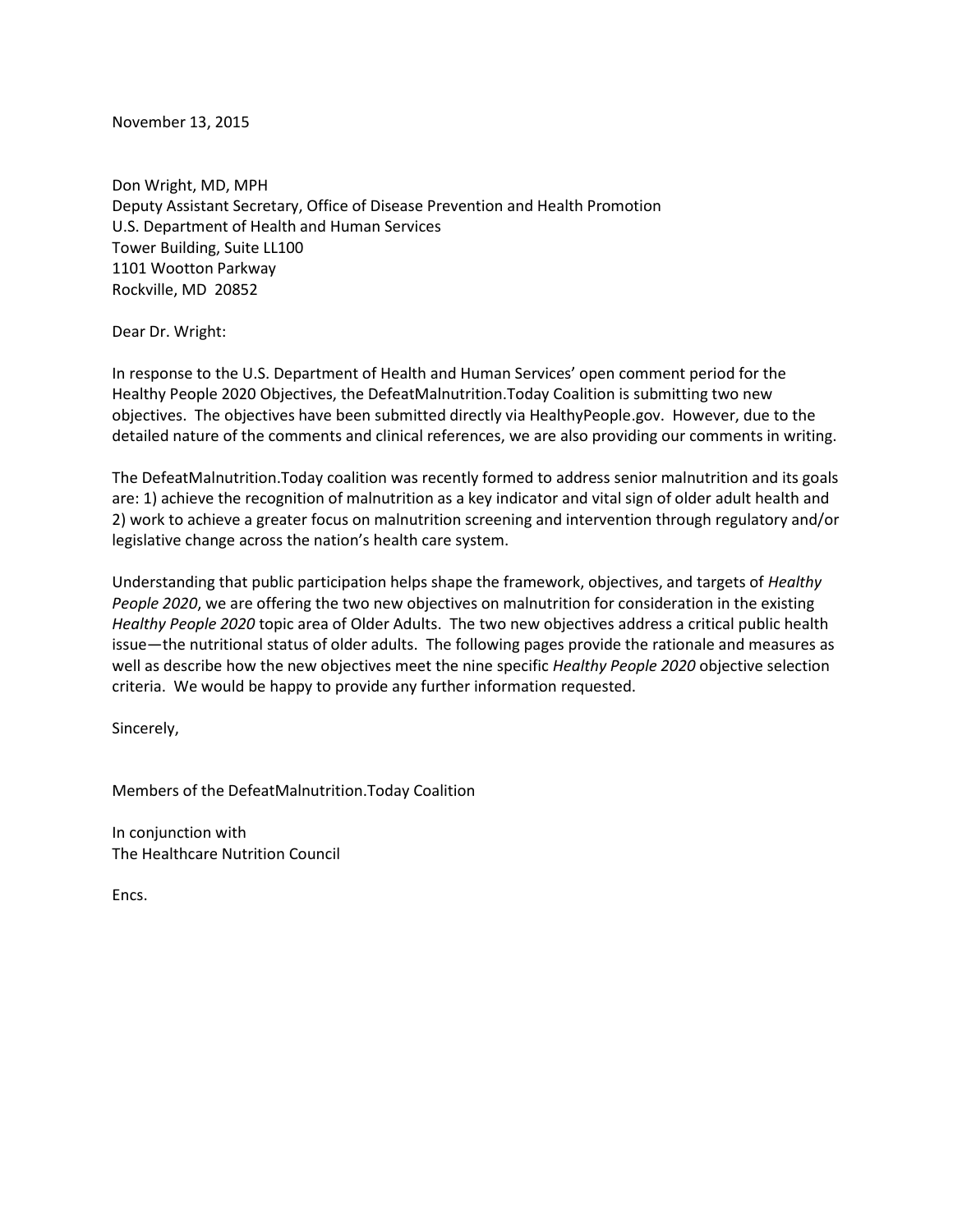November 13, 2015

Don Wright, MD, MPH Deputy Assistant Secretary, Office of Disease Prevention and Health Promotion U.S. Department of Health and Human Services Tower Building, Suite LL100 1101 Wootton Parkway Rockville, MD 20852

Dear Dr. Wright:

In response to the U.S. Department of Health and Human Services' open comment period for the Healthy People 2020 Objectives, the DefeatMalnutrition.Today Coalition is submitting two new objectives. The objectives have been submitted directly via HealthyPeople.gov. However, due to the detailed nature of the comments and clinical references, we are also providing our comments in writing.

The DefeatMalnutrition.Today coalition was recently formed to address senior malnutrition and its goals are: 1) achieve the recognition of malnutrition as a key indicator and vital sign of older adult health and 2) work to achieve a greater focus on malnutrition screening and intervention through regulatory and/or legislative change across the nation's health care system.

Understanding that public participation helps shape the framework, objectives, and targets of *Healthy People 2020*, we are offering the two new objectives on malnutrition for consideration in the existing *Healthy People 2020* topic area of Older Adults. The two new objectives address a critical public health issue—the nutritional status of older adults. The following pages provide the rationale and measures as well as describe how the new objectives meet the nine specific *Healthy People 2020* objective selection criteria. We would be happy to provide any further information requested.

Sincerely,

Members of the DefeatMalnutrition.Today Coalition

In conjunction with The Healthcare Nutrition Council

Encs.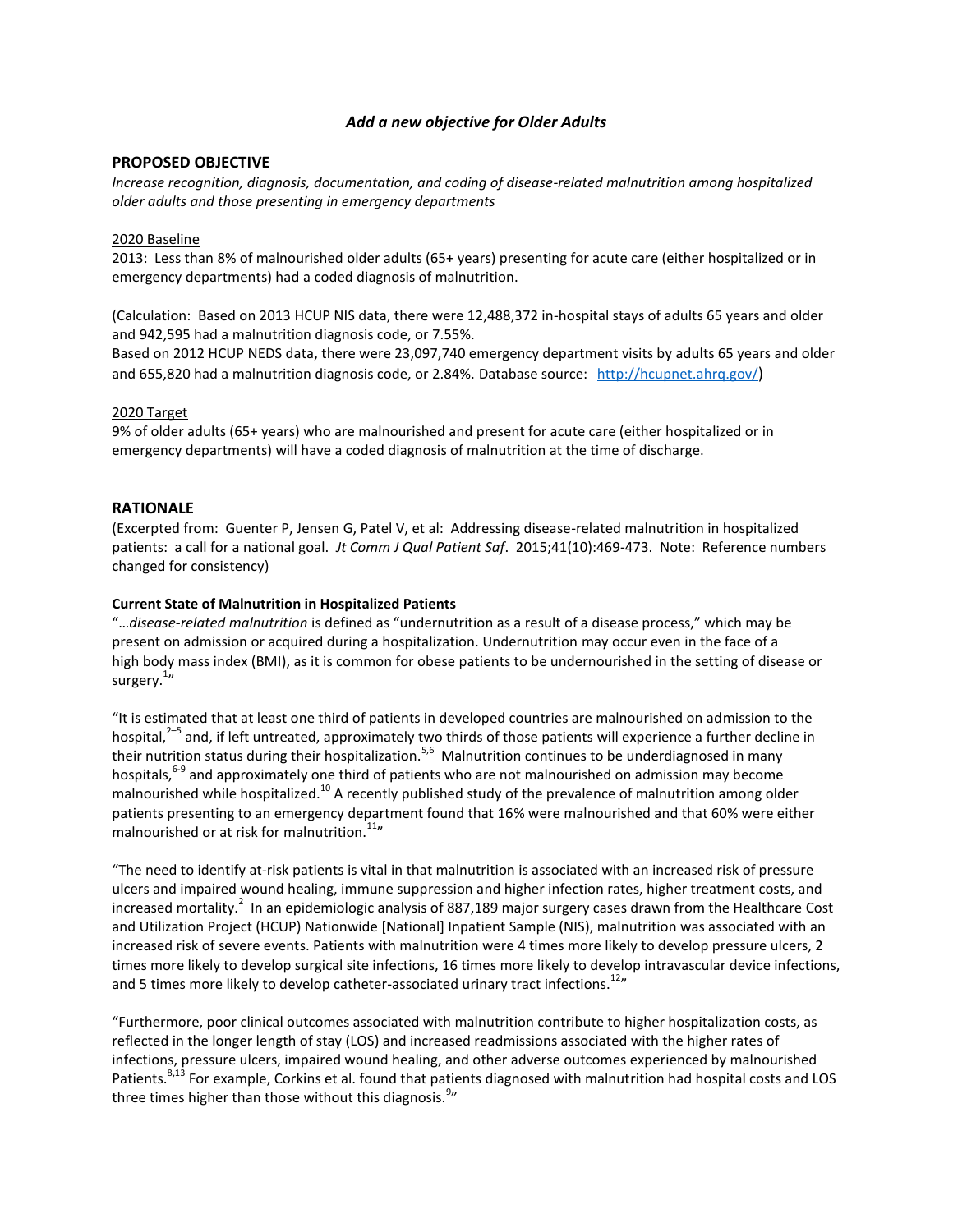## *Add a new objective for Older Adults*

## **PROPOSED OBJECTIVE**

*Increase recognition, diagnosis, documentation, and coding of disease-related malnutrition among hospitalized older adults and those presenting in emergency departments* 

#### 2020 Baseline

2013: Less than 8% of malnourished older adults (65+ years) presenting for acute care (either hospitalized or in emergency departments) had a coded diagnosis of malnutrition.

(Calculation: Based on 2013 HCUP NIS data, there were 12,488,372 in-hospital stays of adults 65 years and older and 942,595 had a malnutrition diagnosis code, or 7.55%.

Based on 2012 HCUP NEDS data, there were 23,097,740 emergency department visits by adults 65 years and older and 655,820 had a malnutrition diagnosis code, or 2.84%. Database source: <http://hcupnet.ahrq.gov/>)

#### 2020 Target

9% of older adults (65+ years) who are malnourished and present for acute care (either hospitalized or in emergency departments) will have a coded diagnosis of malnutrition at the time of discharge.

### **RATIONALE**

(Excerpted from: Guenter P, Jensen G, Patel V, et al: Addressing disease-related malnutrition in hospitalized patients: a call for a national goal. *Jt Comm J Qual Patient Saf*. 2015;41(10):469-473. Note: Reference numbers changed for consistency)

#### **Current State of Malnutrition in Hospitalized Patients**

"…*disease-related malnutrition* is defined as "undernutrition as a result of a disease process," which may be present on admission or acquired during a hospitalization. Undernutrition may occur even in the face of a high body mass index (BMI), as it is common for obese patients to be undernourished in the setting of disease or surgery.<sup>1</sup>"

"It is estimated that at least one third of patients in developed countries are malnourished on admission to the hospital,<sup>2–5</sup> and, if left untreated, approximately two thirds of those patients will experience a further decline in their nutrition status during their hospitalization.<sup>5,6</sup> Malnutrition continues to be underdiagnosed in many hospitals,<sup>6-9</sup> and approximately one third of patients who are not malnourished on admission may become malnourished while hospitalized.<sup>10</sup> A recently published study of the prevalence of malnutrition among older patients presenting to an emergency department found that 16% were malnourished and that 60% were either malnourished or at risk for malnutrition.<sup>11</sup>"

"The need to identify at-risk patients is vital in that malnutrition is associated with an increased risk of pressure ulcers and impaired wound healing, immune suppression and higher infection rates, higher treatment costs, and increased mortality.<sup>2</sup> In an epidemiologic analysis of 887,189 major surgery cases drawn from the Healthcare Cost and Utilization Project (HCUP) Nationwide [National] Inpatient Sample (NIS), malnutrition was associated with an increased risk of severe events. Patients with malnutrition were 4 times more likely to develop pressure ulcers, 2 times more likely to develop surgical site infections, 16 times more likely to develop intravascular device infections, and 5 times more likely to develop catheter-associated urinary tract infections.<sup>12</sup>"

"Furthermore, poor clinical outcomes associated with malnutrition contribute to higher hospitalization costs, as reflected in the longer length of stay (LOS) and increased readmissions associated with the higher rates of infections, pressure ulcers, impaired wound healing, and other adverse outcomes experienced by malnourished Patients.<sup>8,13</sup> For example, Corkins et al. found that patients diagnosed with malnutrition had hospital costs and LOS three times higher than those without this diagnosis.<sup>9</sup>"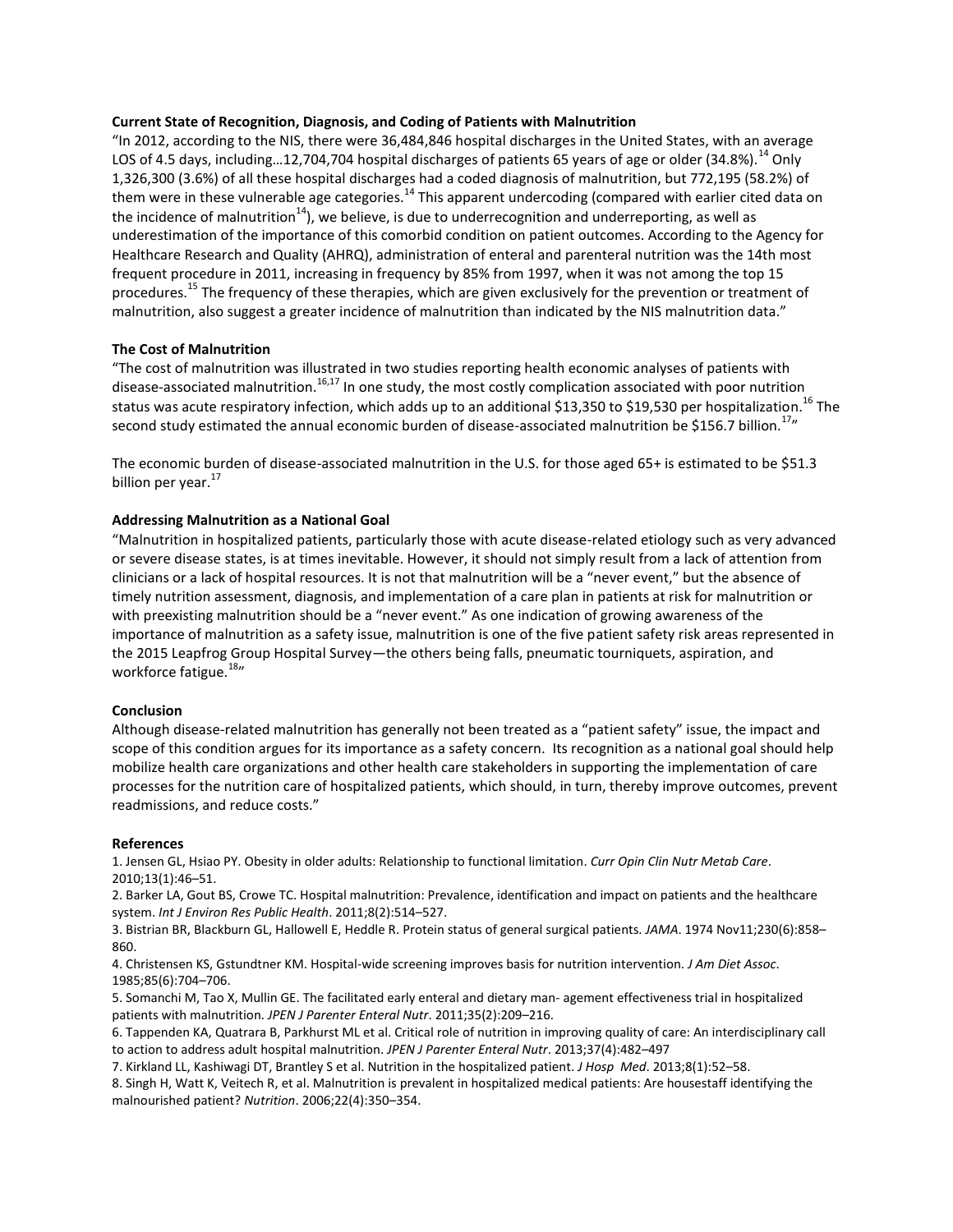#### **Current State of Recognition, Diagnosis, and Coding of Patients with Malnutrition**

"In 2012, according to the NIS, there were 36,484,846 hospital discharges in the United States, with an average LOS of 4.5 days, including...12,704,704 hospital discharges of patients 65 years of age or older (34.8%).<sup>14</sup> Only 1,326,300 (3.6%) of all these hospital discharges had a coded diagnosis of malnutrition, but 772,195 (58.2%) of them were in these vulnerable age categories.<sup>14</sup> This apparent undercoding (compared with earlier cited data on the incidence of malnutrition<sup>14</sup>), we believe, is due to underrecognition and underreporting, as well as underestimation of the importance of this comorbid condition on patient outcomes. According to the Agency for Healthcare Research and Quality (AHRQ), administration of enteral and parenteral nutrition was the 14th most frequent procedure in 2011, increasing in frequency by 85% from 1997, when it was not among the top 15 procedures.<sup>15</sup> The frequency of these therapies, which are given exclusively for the prevention or treatment of malnutrition, also suggest a greater incidence of malnutrition than indicated by the NIS malnutrition data."

## **The Cost of Malnutrition**

"The cost of malnutrition was illustrated in two studies reporting health economic analyses of patients with disease-associated malnutrition.<sup>16,17</sup> In one study, the most costly complication associated with poor nutrition status was acute respiratory infection, which adds up to an additional \$13,350 to \$19,530 per hospitalization.<sup>16</sup> The second study estimated the annual economic burden of disease-associated malnutrition be \$156.7 billion.<sup>17</sup>"

The economic burden of disease-associated malnutrition in the U.S. for those aged 65+ is estimated to be \$51.3 billion per year.<sup>17</sup>

#### **Addressing Malnutrition as a National Goal**

"Malnutrition in hospitalized patients, particularly those with acute disease-related etiology such as very advanced or severe disease states, is at times inevitable. However, it should not simply result from a lack of attention from clinicians or a lack of hospital resources. It is not that malnutrition will be a "never event," but the absence of timely nutrition assessment, diagnosis, and implementation of a care plan in patients at risk for malnutrition or with preexisting malnutrition should be a "never event." As one indication of growing awareness of the importance of malnutrition as a safety issue, malnutrition is one of the five patient safety risk areas represented in the 2015 Leapfrog Group Hospital Survey—the others being falls, pneumatic tourniquets, aspiration, and workforce fatigue.<sup>18</sup>"

#### **Conclusion**

Although disease-related malnutrition has generally not been treated as a "patient safety" issue, the impact and scope of this condition argues for its importance as a safety concern. Its recognition as a national goal should help mobilize health care organizations and other health care stakeholders in supporting the implementation of care processes for the nutrition care of hospitalized patients, which should, in turn, thereby improve outcomes, prevent readmissions, and reduce costs."

#### **References**

1. Jensen GL, Hsiao PY. Obesity in older adults: Relationship to functional limitation. *Curr Opin Clin Nutr Metab Care*. 2010;13(1):46–51.

2. Barker LA, Gout BS, Crowe TC. Hospital malnutrition: Prevalence, identification and impact on patients and the healthcare system. *Int J Environ Res Public Health*. 2011;8(2):514–527.

3. Bistrian BR, Blackburn GL, Hallowell E, Heddle R. Protein status of general surgical patients. *JAMA*. 1974 Nov11;230(6):858– 860.

4. Christensen KS, Gstundtner KM. Hospital-wide screening improves basis for nutrition intervention. *J Am Diet Assoc*. 1985;85(6):704–706.

5. Somanchi M, Tao X, Mullin GE. The facilitated early enteral and dietary man- agement effectiveness trial in hospitalized patients with malnutrition. *JPEN J Parenter Enteral Nutr*. 2011;35(2):209–216.

6. Tappenden KA, Quatrara B, Parkhurst ML et al. Critical role of nutrition in improving quality of care: An interdisciplinary call to action to address adult hospital malnutrition. *JPEN J Parenter Enteral Nutr*. 2013;37(4):482–497

7. Kirkland LL, Kashiwagi DT, Brantley S et al. Nutrition in the hospitalized patient. *J Hosp Med*. 2013;8(1):52–58.

8. Singh H, Watt K, Veitech R, et al. Malnutrition is prevalent in hospitalized medical patients: Are housestaff identifying the malnourished patient? *Nutrition*. 2006;22(4):350–354.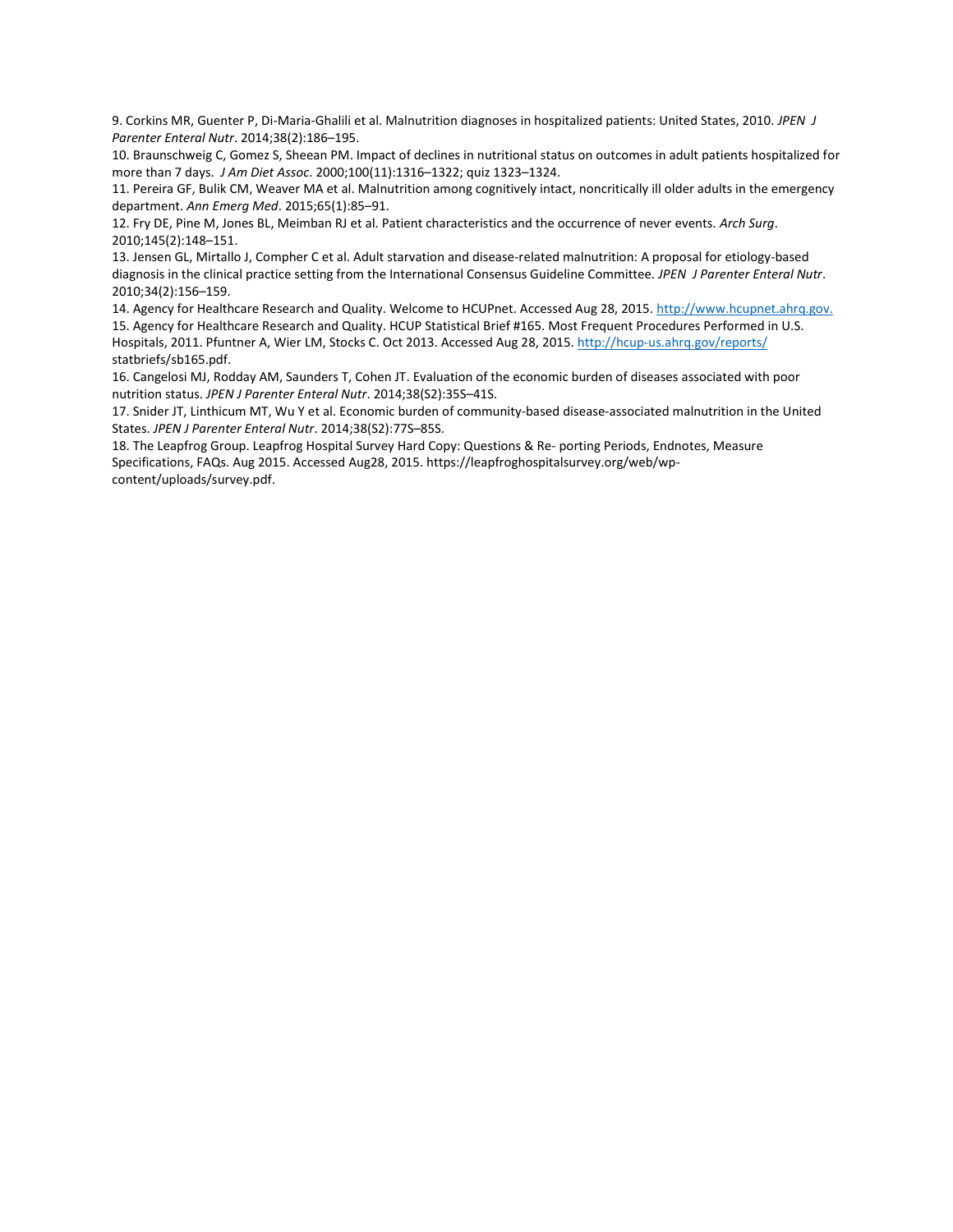9. Corkins MR, Guenter P, Di-Maria-Ghalili et al. Malnutrition diagnoses in hospitalized patients: United States, 2010. *JPEN J Parenter Enteral Nutr*. 2014;38(2):186–195.

10. Braunschweig C, Gomez S, Sheean PM. Impact of declines in nutritional status on outcomes in adult patients hospitalized for more than 7 days. *J Am Diet Assoc*. 2000;100(11):1316–1322; quiz 1323–1324.

11. Pereira GF, Bulik CM, Weaver MA et al. Malnutrition among cognitively intact, noncritically ill older adults in the emergency department. *Ann Emerg Med*. 2015;65(1):85–91.

12. Fry DE, Pine M, Jones BL, Meimban RJ et al. Patient characteristics and the occurrence of never events. *Arch Surg*. 2010;145(2):148–151.

13. Jensen GL, Mirtallo J, Compher C et al. Adult starvation and disease-related malnutrition: A proposal for etiology-based diagnosis in the clinical practice setting from the International Consensus Guideline Committee. *JPEN J Parenter Enteral Nutr*. 2010;34(2):156–159.

14. Agency for Healthcare Research and Quality. Welcome to HCUPnet. Accessed Aug 28, 2015. [http://www.hcupnet.ahrq.gov.](http://www.hcupnet.ahrq.gov/) 15. Agency for Healthcare Research and Quality. HCUP Statistical Brief #165. Most Frequent Procedures Performed in U.S. Hospitals, 2011. Pfuntner A, Wier LM, Stocks C. Oct 2013. Accessed Aug 28, 2015. http://hcup-us.ahrq.gov/reports/ statbriefs/sb165.pdf.

16. Cangelosi MJ, Rodday AM, Saunders T, Cohen JT. Evaluation of the economic burden of diseases associated with poor nutrition status. *JPEN J Parenter Enteral Nutr*. 2014;38(S2):35S–41S.

17. Snider JT, Linthicum MT, Wu Y et al. Economic burden of community-based disease-associated malnutrition in the United States. *JPEN J Parenter Enteral Nutr*. 2014;38(S2):77S–85S.

18. The Leapfrog Group. Leapfrog Hospital Survey Hard Copy: Questions & Re- porting Periods, Endnotes, Measure Specifications, FAQs. Aug 2015. Accessed Aug28, 2015. https://leapfroghospitalsurvey.org/web/wpcontent/uploads/survey.pdf.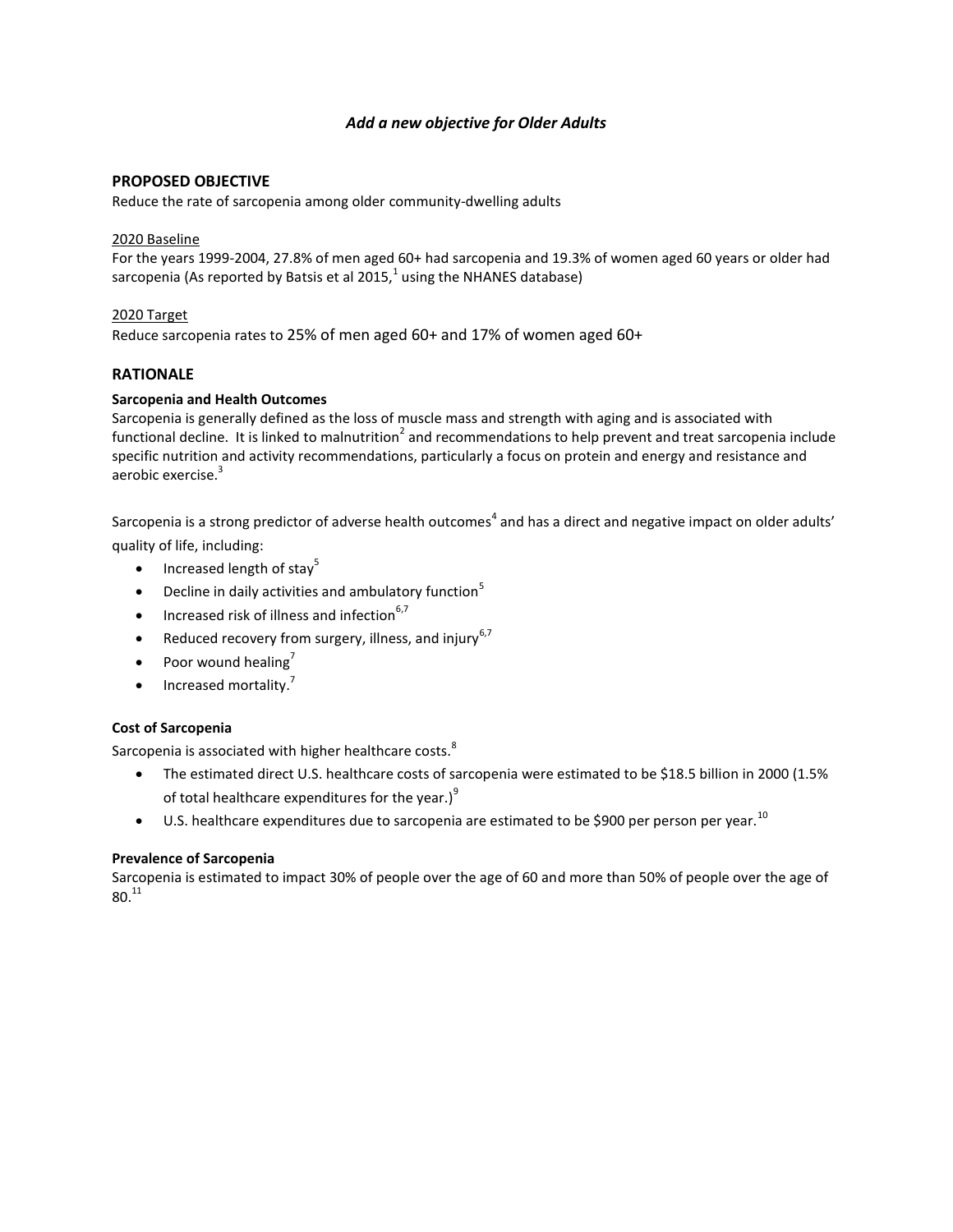# *Add a new objective for Older Adults*

# **PROPOSED OBJECTIVE**

Reduce the rate of sarcopenia among older community-dwelling adults

## 2020 Baseline

For the years 1999-2004, 27.8% of men aged 60+ had sarcopenia and 19.3% of women aged 60 years or older had sarcopenia (As reported by Batsis et al 2015, $^1$  using the NHANES database)

# 2020 Target

Reduce sarcopenia rates to 25% of men aged 60+ and 17% of women aged 60+

# **RATIONALE**

## **Sarcopenia and Health Outcomes**

Sarcopenia is generally defined as the loss of muscle mass and strength with aging and is associated with functional decline. It is linked to malnutrition<sup>2</sup> and recommendations to help prevent and treat sarcopenia include specific nutrition and activity recommendations, particularly a focus on protein and energy and resistance and aerobic exercise.<sup>3</sup>

Sarcopenia is a strong predictor of adverse health outcomes<sup>4</sup> and has a direct and negative impact on older adults' quality of life, including:

- $\bullet$  Increased length of stay<sup>5</sup>
- **•** Decline in daily activities and ambulatory function<sup>5</sup>
- Increased risk of illness and infection $6,7$
- Reduced recovery from surgery, illness, and injury<sup>6,7</sup>
- Poor wound healing<sup>7</sup>
- Increased mortality.<sup>7</sup>

# **Cost of Sarcopenia**

Sarcopenia is associated with higher healthcare costs.<sup>8</sup>

- The estimated direct U.S. healthcare costs of sarcopenia were estimated to be \$18.5 billion in 2000 (1.5% of total healthcare expenditures for the year.) $<sup>9</sup>$ </sup>
- U.S. healthcare expenditures due to sarcopenia are estimated to be \$900 per person per year.<sup>10</sup>

# **Prevalence of Sarcopenia**

Sarcopenia is estimated to impact 30% of people over the age of 60 and more than 50% of people over the age of  $80.11$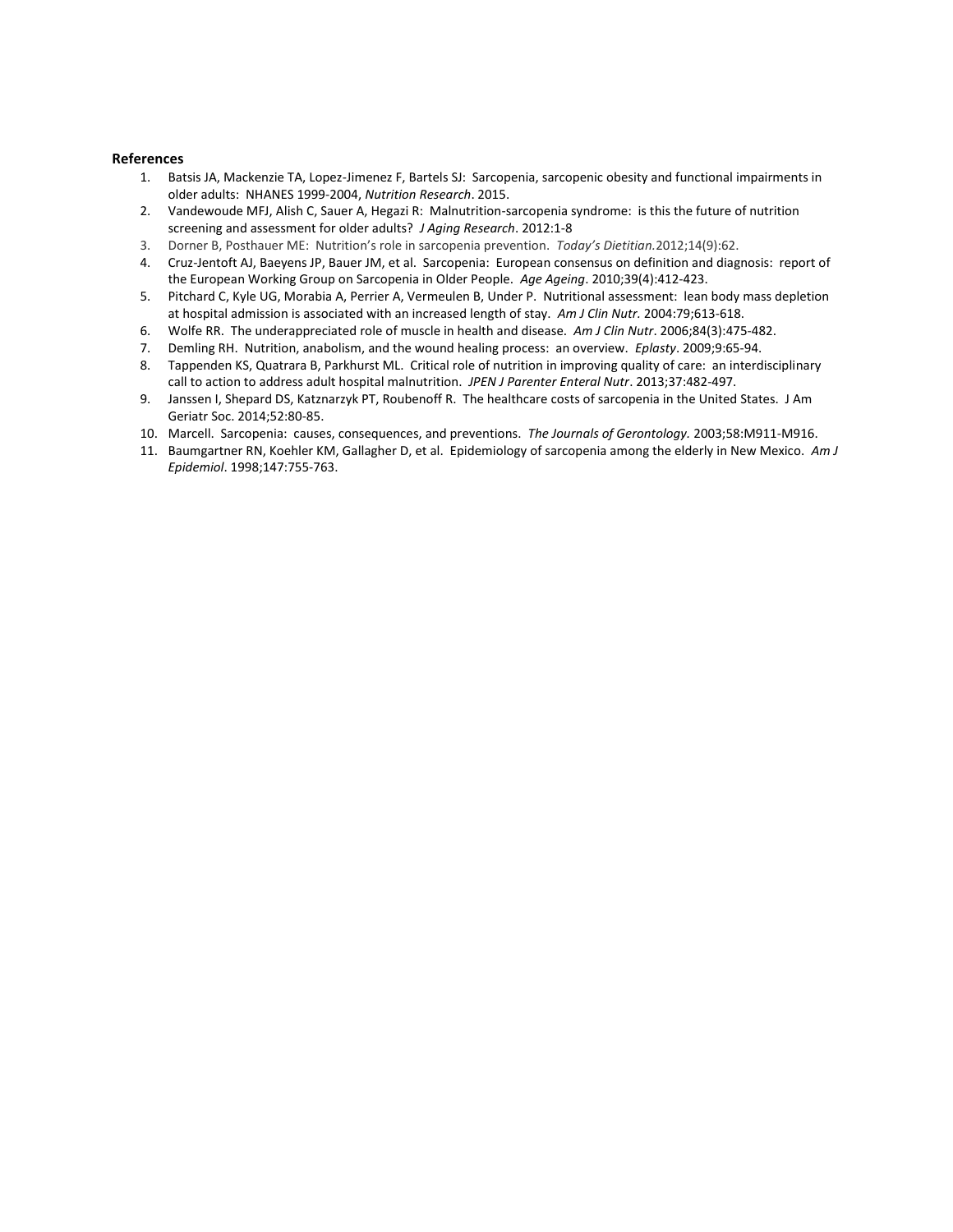#### **References**

- 1. Batsis JA, Mackenzie TA, Lopez-Jimenez F, Bartels SJ: Sarcopenia, sarcopenic obesity and functional impairments in older adults: NHANES 1999-2004, *Nutrition Research*. 2015.
- 2. Vandewoude MFJ, Alish C, Sauer A, Hegazi R: Malnutrition-sarcopenia syndrome: is this the future of nutrition screening and assessment for older adults? *J Aging Research*. 2012:1-8
- 3. Dorner B, Posthauer ME: Nutrition's role in sarcopenia prevention. *Today's Dietitian.*2012;14(9):62.
- 4. Cruz-Jentoft AJ, Baeyens JP, Bauer JM, et al. Sarcopenia: European consensus on definition and diagnosis: report of the European Working Group on Sarcopenia in Older People. *Age Ageing*. 2010;39(4):412-423.
- 5. Pitchard C, Kyle UG, Morabia A, Perrier A, Vermeulen B, Under P. Nutritional assessment: lean body mass depletion at hospital admission is associated with an increased length of stay. *Am J Clin Nutr.* 2004:79;613-618.
- 6. Wolfe RR. The underappreciated role of muscle in health and disease. *Am J Clin Nutr*. 2006;84(3):475-482.
- 7. Demling RH. Nutrition, anabolism, and the wound healing process: an overview. *Eplasty*. 2009;9:65-94.
- 8. Tappenden KS, Quatrara B, Parkhurst ML. Critical role of nutrition in improving quality of care: an interdisciplinary call to action to address adult hospital malnutrition. *JPEN J Parenter Enteral Nutr*. 2013;37:482-497.
- 9. Janssen I, Shepard DS, Katznarzyk PT, Roubenoff R. The healthcare costs of sarcopenia in the United States. J Am Geriatr Soc. 2014;52:80-85.
- 10. Marcell. Sarcopenia: causes, consequences, and preventions. *The Journals of Gerontology.* 2003;58:M911-M916.
- 11. Baumgartner RN, Koehler KM, Gallagher D, et al. Epidemiology of sarcopenia among the elderly in New Mexico. *Am J Epidemiol*. 1998;147:755-763.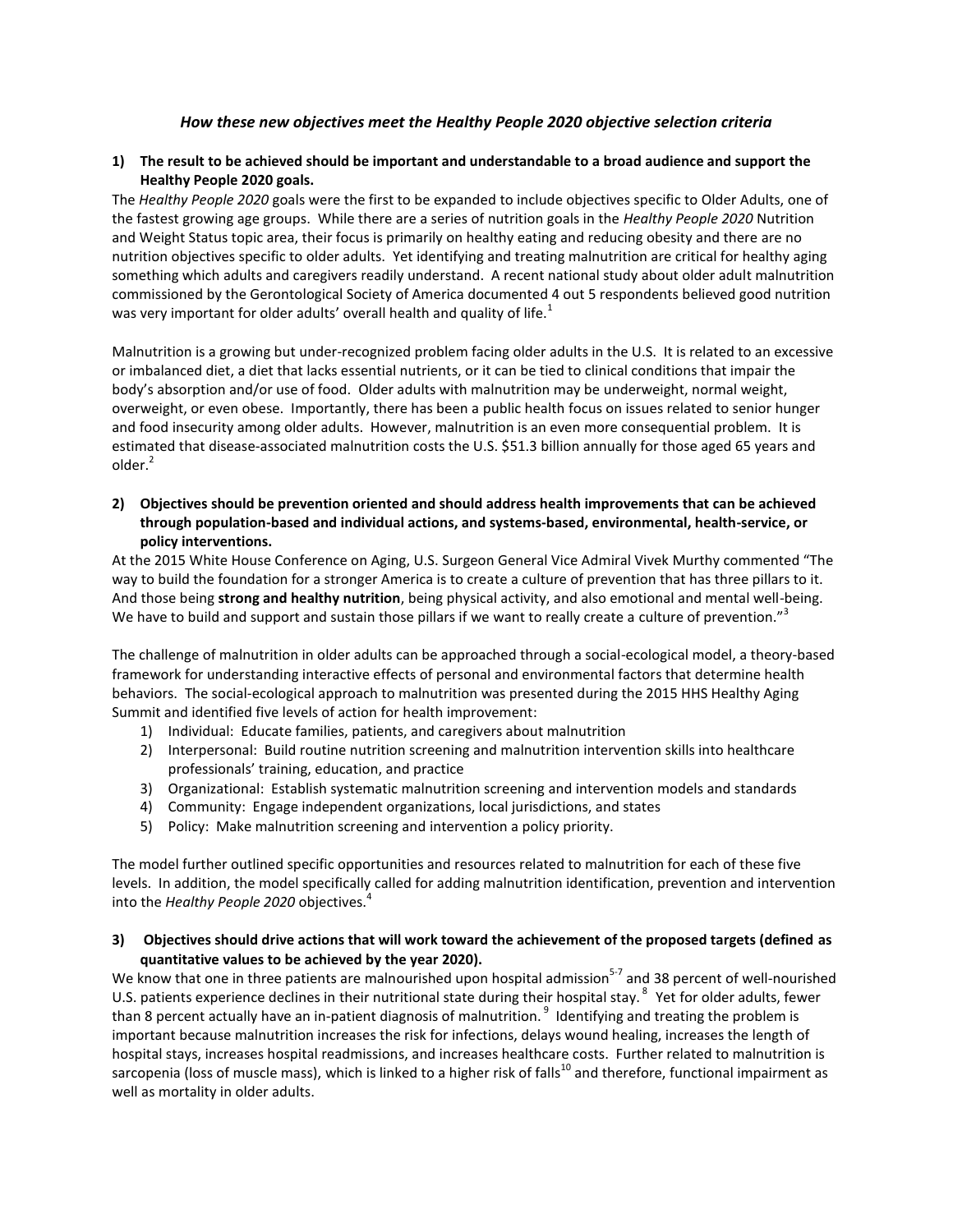## *How these new objectives meet the Healthy People 2020 objective selection criteria*

## **1) The result to be achieved should be important and understandable to a broad audience and support the Healthy People 2020 goals.**

The *Healthy People 2020* goals were the first to be expanded to include objectives specific to Older Adults, one of the fastest growing age groups. While there are a series of nutrition goals in the *Healthy People 2020* Nutrition and Weight Status topic area, their focus is primarily on healthy eating and reducing obesity and there are no nutrition objectives specific to older adults. Yet identifying and treating malnutrition are critical for healthy aging something which adults and caregivers readily understand. A recent national study about older adult malnutrition commissioned by the Gerontological Society of America documented 4 out 5 respondents believed good nutrition was very important for older adults' overall health and quality of life.<sup>1</sup>

Malnutrition is a growing but under-recognized problem facing older adults in the U.S. It is related to an excessive or imbalanced diet, a diet that lacks essential nutrients, or it can be tied to clinical conditions that impair the body's absorption and/or use of food. Older adults with malnutrition may be underweight, normal weight, overweight, or even obese. Importantly, there has been a public health focus on issues related to senior hunger and food insecurity among older adults. However, malnutrition is an even more consequential problem. It is estimated that disease-associated malnutrition costs the U.S. \$51.3 billion annually for those aged 65 years and  $older<sup>2</sup>$ 

**2) Objectives should be prevention oriented and should address health improvements that can be achieved through population-based and individual actions, and systems-based, environmental, health-service, or policy interventions.**

At the 2015 White House Conference on Aging, U.S. Surgeon General Vice Admiral Vivek Murthy commented "The way to build the foundation for a stronger America is to create a culture of prevention that has three pillars to it. And those being **strong and healthy nutrition**, being physical activity, and also emotional and mental well-being. We have to build and support and sustain those pillars if we want to really create a culture of prevention."<sup>3</sup>

The challenge of malnutrition in older adults can be approached through a social-ecological model, a theory-based framework for understanding interactive effects of personal and environmental factors that determine health behaviors. The social-ecological approach to malnutrition was presented during the 2015 HHS Healthy Aging Summit and identified five levels of action for health improvement:

- 1) Individual: Educate families, patients, and caregivers about malnutrition
- 2) Interpersonal: Build routine nutrition screening and malnutrition intervention skills into healthcare professionals' training, education, and practice
- 3) Organizational: Establish systematic malnutrition screening and intervention models and standards
- 4) Community: Engage independent organizations, local jurisdictions, and states
- 5) Policy: Make malnutrition screening and intervention a policy priority.

The model further outlined specific opportunities and resources related to malnutrition for each of these five levels. In addition, the model specifically called for adding malnutrition identification, prevention and intervention into the *Healthy People 2020* objectives.<sup>4</sup>

# **3) Objectives should drive actions that will work toward the achievement of the proposed targets (defined as quantitative values to be achieved by the year 2020).**

We know that one in three patients are malnourished upon hospital admission<sup>5-7</sup> and 38 percent of well-nourished U.S. patients experience declines in their nutritional state during their hospital stay.<sup>8</sup> Yet for older adults, fewer than 8 percent actually have an in-patient diagnosis of malnutrition. <sup>9</sup> Identifying and treating the problem is important because malnutrition increases the risk for infections, delays wound healing, increases the length of hospital stays, increases hospital readmissions, and increases healthcare costs. Further related to malnutrition is sarcopenia (loss of muscle mass), which is linked to a higher risk of falls<sup>10</sup> and therefore, functional impairment as well as mortality in older adults.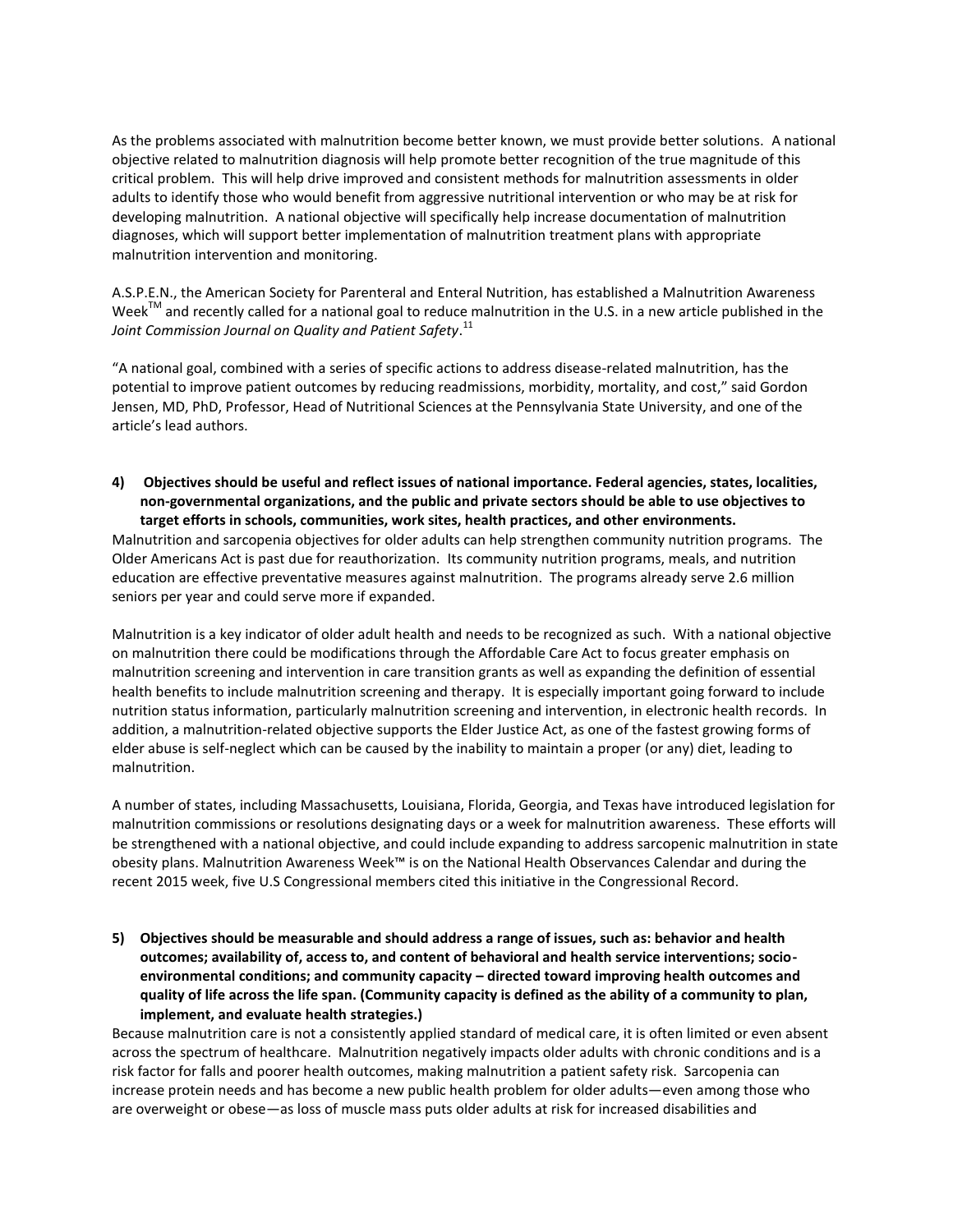As the problems associated with malnutrition become better known, we must provide better solutions. A national objective related to malnutrition diagnosis will help promote better recognition of the true magnitude of this critical problem. This will help drive improved and consistent methods for malnutrition assessments in older adults to identify those who would benefit from aggressive nutritional intervention or who may be at risk for developing malnutrition. A national objective will specifically help increase documentation of malnutrition diagnoses, which will support better implementation of malnutrition treatment plans with appropriate malnutrition intervention and monitoring.

A.S.P.E.N., the American Society for Parenteral and Enteral Nutrition, has established a Malnutrition Awareness Week<sup>TM</sup> and recently called for a national goal to reduce malnutrition in the U.S. in a new article published in the *Joint Commission Journal on Quality and Patient Safety*. 11

"A national goal, combined with a series of specific actions to address disease-related malnutrition, has the potential to improve patient outcomes by reducing readmissions, morbidity, mortality, and cost," said Gordon Jensen, MD, PhD, Professor, Head of Nutritional Sciences at the Pennsylvania State University, and one of the article's lead authors.

**4) Objectives should be useful and reflect issues of national importance. Federal agencies, states, localities, non-governmental organizations, and the public and private sectors should be able to use objectives to target efforts in schools, communities, work sites, health practices, and other environments.**

Malnutrition and sarcopenia objectives for older adults can help strengthen community nutrition programs. The Older Americans Act is past due for reauthorization. Its community nutrition programs, meals, and nutrition education are effective preventative measures against malnutrition. The programs already serve 2.6 million seniors per year and could serve more if expanded.

Malnutrition is a key indicator of older adult health and needs to be recognized as such. With a national objective on malnutrition there could be modifications through the Affordable Care Act to focus greater emphasis on malnutrition screening and intervention in care transition grants as well as expanding the definition of essential health benefits to include malnutrition screening and therapy. It is especially important going forward to include nutrition status information, particularly malnutrition screening and intervention, in electronic health records. In addition, a malnutrition-related objective supports the Elder Justice Act, as one of the fastest growing forms of elder abuse is self-neglect which can be caused by the inability to maintain a proper (or any) diet, leading to malnutrition.

A number of states, including Massachusetts, Louisiana, Florida, Georgia, and Texas have introduced legislation for malnutrition commissions or resolutions designating days or a week for malnutrition awareness. These efforts will be strengthened with a national objective, and could include expanding to address sarcopenic malnutrition in state obesity plans. Malnutrition Awareness Week™ is on the National Health Observances Calendar and during the recent 2015 week, five U.S Congressional members cited this initiative in the Congressional Record.

**5) Objectives should be measurable and should address a range of issues, such as: behavior and health outcomes; availability of, access to, and content of behavioral and health service interventions; socioenvironmental conditions; and community capacity – directed toward improving health outcomes and quality of life across the life span. (Community capacity is defined as the ability of a community to plan, implement, and evaluate health strategies.)**

Because malnutrition care is not a consistently applied standard of medical care, it is often limited or even absent across the spectrum of healthcare. Malnutrition negatively impacts older adults with chronic conditions and is a risk factor for falls and poorer health outcomes, making malnutrition a patient safety risk. Sarcopenia can increase protein needs and has become a new public health problem for older adults—even among those who are overweight or obese—as loss of muscle mass puts older adults at risk for increased disabilities and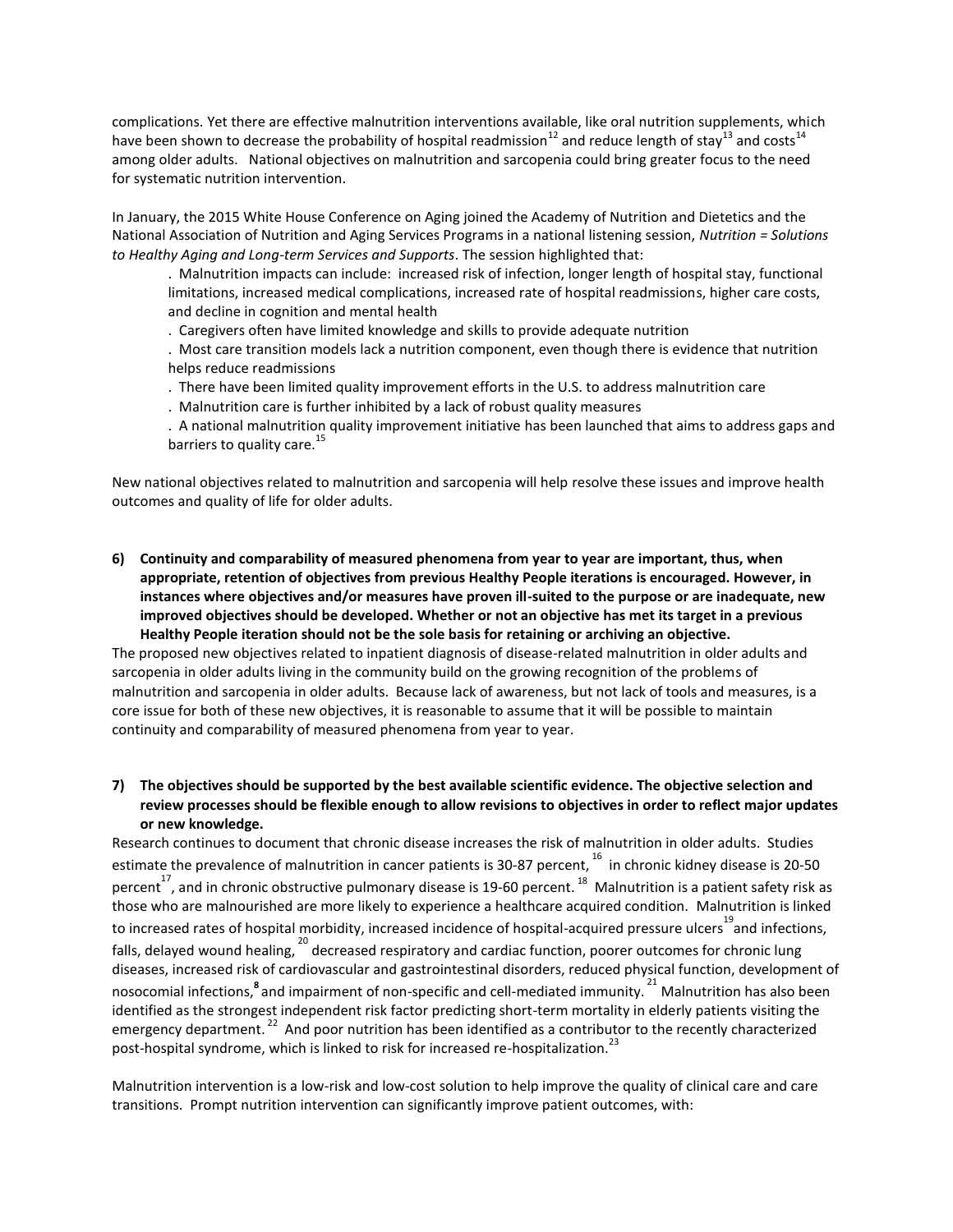complications. Yet there are effective malnutrition interventions available, like oral nutrition supplements, which have been shown to decrease the probability of hospital readmission<sup>12</sup> and reduce length of stay<sup>13</sup> and costs<sup>14</sup> among older adults. National objectives on malnutrition and sarcopenia could bring greater focus to the need for systematic nutrition intervention.

In January, the 2015 White House Conference on Aging joined the Academy of Nutrition and Dietetics and the National Association of Nutrition and Aging Services Programs in a national listening session, *Nutrition = Solutions to Healthy Aging and Long-term Services and Supports*. The session highlighted that:

. Malnutrition impacts can include: increased risk of infection, longer length of hospital stay, functional limitations, increased medical complications, increased rate of hospital readmissions, higher care costs, and decline in cognition and mental health

. Caregivers often have limited knowledge and skills to provide adequate nutrition

. Most care transition models lack a nutrition component, even though there is evidence that nutrition helps reduce readmissions

. There have been limited quality improvement efforts in the U.S. to address malnutrition care

. Malnutrition care is further inhibited by a lack of robust quality measures

. A national malnutrition quality improvement initiative has been launched that aims to address gaps and barriers to quality care.<sup>15</sup>

New national objectives related to malnutrition and sarcopenia will help resolve these issues and improve health outcomes and quality of life for older adults.

**6) Continuity and comparability of measured phenomena from year to year are important, thus, when appropriate, retention of objectives from previous Healthy People iterations is encouraged. However, in instances where objectives and/or measures have proven ill-suited to the purpose or are inadequate, new improved objectives should be developed. Whether or not an objective has met its target in a previous Healthy People iteration should not be the sole basis for retaining or archiving an objective.**

The proposed new objectives related to inpatient diagnosis of disease-related malnutrition in older adults and sarcopenia in older adults living in the community build on the growing recognition of the problems of malnutrition and sarcopenia in older adults. Because lack of awareness, but not lack of tools and measures, is a core issue for both of these new objectives, it is reasonable to assume that it will be possible to maintain continuity and comparability of measured phenomena from year to year.

# **7) The objectives should be supported by the best available scientific evidence. The objective selection and review processes should be flexible enough to allow revisions to objectives in order to reflect major updates or new knowledge.**

Research continues to document that chronic disease increases the risk of malnutrition in older adults. Studies estimate the prevalence of malnutrition in cancer patients is 30-87 percent, <sup>16</sup> in chronic kidney disease is 20-50 percent<sup>17</sup>, and in chronic obstructive pulmonary disease is 19-60 percent. <sup>18</sup> Malnutrition is a patient safety risk as those who are malnourished are more likely to experience a healthcare acquired condition. Malnutrition is linked to increased rates of hospital morbidity, increased incidence of hospital-acquired pressure ulcers<sup>19</sup>and infections, falls, delayed wound healing,  $^{20}$  decreased respiratory and cardiac function, poorer outcomes for chronic lung diseases, increased risk of cardiovascular and gastrointestinal disorders, reduced physical function, development of nosocomial infections,<sup>8</sup> and impairment of non-specific and cell-mediated immunity.<sup>21</sup> Malnutrition has also been identified as the strongest independent risk factor predicting short-term mortality in elderly patients visiting the emergency department.<sup>22</sup> And poor nutrition has been identified as a contributor to the recently characterized post-hospital syndrome, which is linked to risk for increased re-hospitalization.<sup>23</sup>

Malnutrition intervention is a low-risk and low-cost solution to help improve the quality of clinical care and care transitions. Prompt nutrition intervention can significantly improve patient outcomes, with: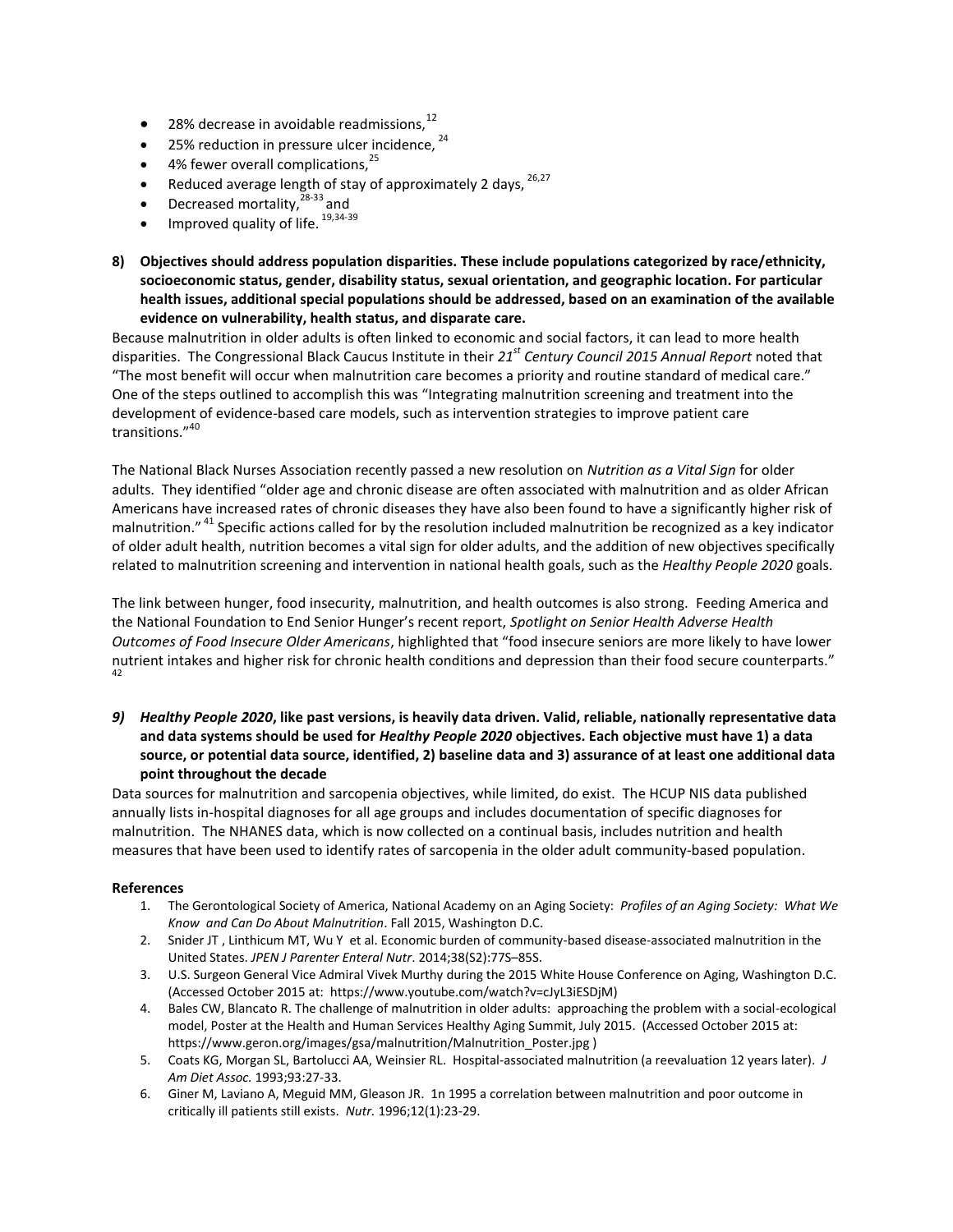- 28% decrease in avoidable readmissions, $^{12}$
- $\bullet$  25% reduction in pressure ulcer incidence,  $24$
- $\bullet$  4% fewer overall complications,  $25$
- Reduced average length of stay of approximately 2 days,  $26,27$
- Decreased mortality,<sup>28-33</sup> and
- Improved quality of life. 19,34-39
- **8) Objectives should address population disparities. These include populations categorized by race/ethnicity, socioeconomic status, gender, disability status, sexual orientation, and geographic location. For particular health issues, additional special populations should be addressed, based on an examination of the available evidence on vulnerability, health status, and disparate care.**

Because malnutrition in older adults is often linked to economic and social factors, it can lead to more health disparities. The Congressional Black Caucus Institute in their *21st Century Council 2015 Annual Report* noted that "The most benefit will occur when malnutrition care becomes a priority and routine standard of medical care." One of the steps outlined to accomplish this was "Integrating malnutrition screening and treatment into the development of evidence-based care models, such as intervention strategies to improve patient care transitions."<sup>40</sup>

The National Black Nurses Association recently passed a new resolution on *Nutrition as a Vital Sign* for older adults. They identified "older age and chronic disease are often associated with malnutrition and as older African Americans have increased rates of chronic diseases they have also been found to have a significantly higher risk of malnutrition." <sup>41</sup> Specific actions called for by the resolution included malnutrition be recognized as a key indicator of older adult health, nutrition becomes a vital sign for older adults, and the addition of new objectives specifically related to malnutrition screening and intervention in national health goals, such as the *Healthy People 2020* goals.

The link between hunger, food insecurity, malnutrition, and health outcomes is also strong. Feeding America and the National Foundation to End Senior Hunger's recent report, *Spotlight on Senior Health Adverse Health Outcomes of Food Insecure Older Americans*, highlighted that "food insecure seniors are more likely to have lower nutrient intakes and higher risk for chronic health conditions and depression than their food secure counterparts." 42

*9) Healthy People 2020***, like past versions, is heavily data driven. Valid, reliable, nationally representative data and data systems should be used for** *Healthy People 2020* **objectives. Each objective must have 1) a data source, or potential data source, identified, 2) baseline data and 3) assurance of at least one additional data point throughout the decade**

Data sources for malnutrition and sarcopenia objectives, while limited, do exist. The HCUP NIS data published annually lists in-hospital diagnoses for all age groups and includes documentation of specific diagnoses for malnutrition. The NHANES data, which is now collected on a continual basis, includes nutrition and health measures that have been used to identify rates of sarcopenia in the older adult community-based population.

# **References**

- 1. The Gerontological Society of America, National Academy on an Aging Society: *Profiles of an Aging Society: What We Know and Can Do About Malnutrition*. Fall 2015, Washington D.C.
- 2. Snider JT , Linthicum MT, Wu Y et al. Economic burden of community-based disease-associated malnutrition in the United States. *JPEN J Parenter Enteral Nutr*. 2014;38(S2):77S–85S.
- 3. U.S. Surgeon General Vice Admiral Vivek Murthy during the 2015 White House Conference on Aging, Washington D.C. (Accessed October 2015 at: https://www.youtube.com/watch?v=cJyL3iESDjM)
- 4. Bales CW, Blancato R. The challenge of malnutrition in older adults: approaching the problem with a social-ecological model, Poster at the Health and Human Services Healthy Aging Summit, July 2015. (Accessed October 2015 at: https://www.geron.org/images/gsa/malnutrition/Malnutrition\_Poster.jpg )
- 5. Coats KG, Morgan SL, Bartolucci AA, Weinsier RL. Hospital-associated malnutrition (a reevaluation 12 years later). *J Am Diet Assoc.* 1993;93:27-33.
- 6. Giner M, Laviano A, Meguid MM, Gleason JR. 1n 1995 a correlation between malnutrition and poor outcome in critically ill patients still exists. *Nutr.* 1996;12(1):23-29.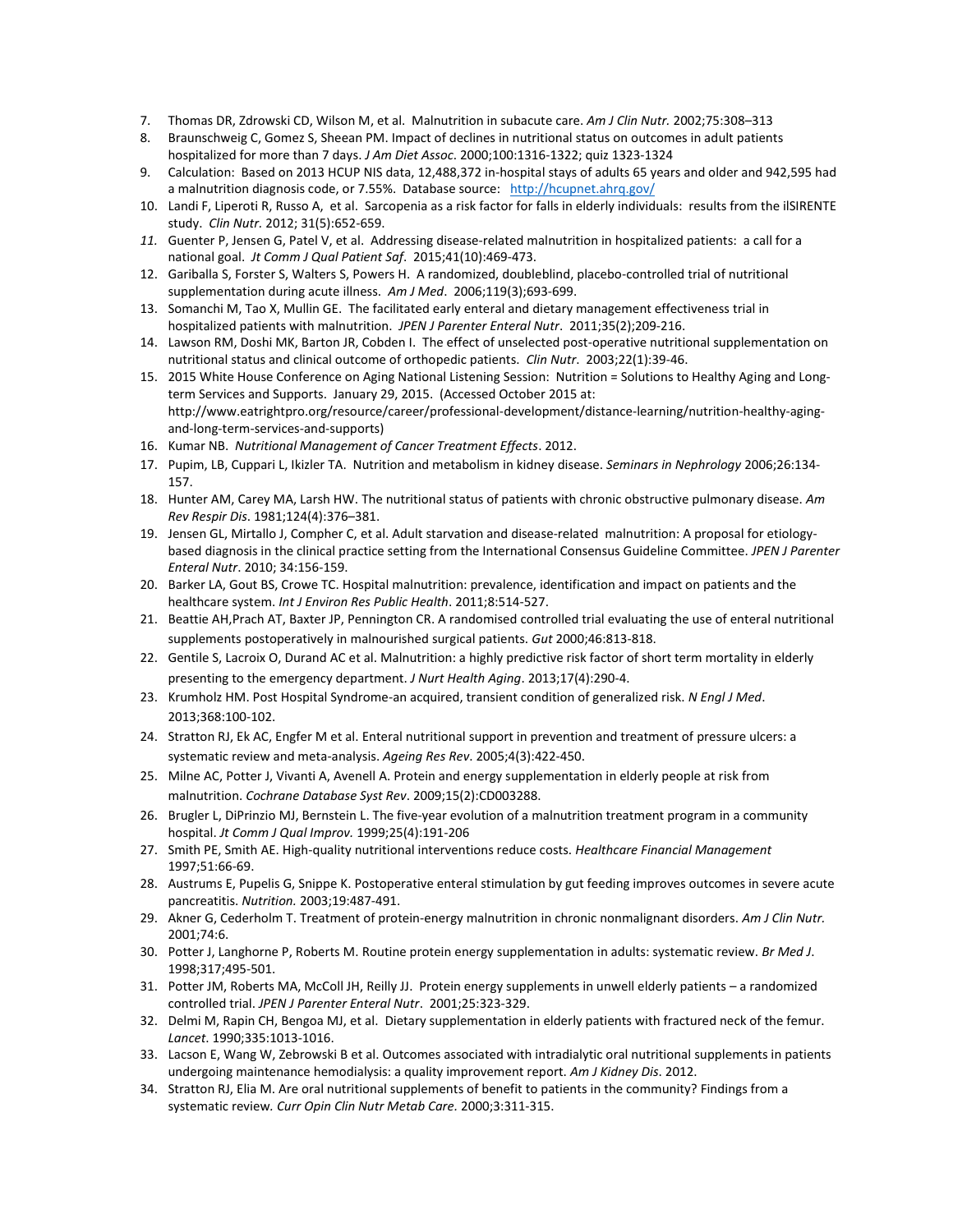- 7. Thomas DR, Zdrowski CD, Wilson M, et al. Malnutrition in subacute care. *Am J Clin Nutr.* 2002;75:308–313
- 8. Braunschweig C, Gomez S, Sheean PM. Impact of declines in nutritional status on outcomes in adult patients hospitalized for more than 7 days. *J Am Diet Assoc*. 2000;100:1316-1322; quiz 1323-1324
- 9. Calculation: Based on 2013 HCUP NIS data, 12,488,372 in-hospital stays of adults 65 years and older and 942,595 had a malnutrition diagnosis code, or 7.55%. Database source: <http://hcupnet.ahrq.gov/>
- 10. Landi F, Liperoti R, Russo A, et al. Sarcopenia as a risk factor for falls in elderly individuals: results from the ilSIRENTE study. *Clin Nutr.* 2012; 31(5):652-659.
- *11.* Guenter P, Jensen G, Patel V, et al. Addressing disease-related malnutrition in hospitalized patients: a call for a national goal. *Jt Comm J Qual Patient Saf*. 2015;41(10):469-473.
- 12. Gariballa S, Forster S, Walters S, Powers H. A randomized, doubleblind, placebo-controlled trial of nutritional supplementation during acute illness. *Am J Med*. 2006;119(3);693-699.
- 13. Somanchi M, Tao X, Mullin GE. The facilitated early enteral and dietary management effectiveness trial in hospitalized patients with malnutrition. *JPEN J Parenter Enteral Nutr*. 2011;35(2);209-216.
- 14. Lawson RM, Doshi MK, Barton JR, Cobden I. The effect of unselected post-operative nutritional supplementation on nutritional status and clinical outcome of orthopedic patients. *Clin Nutr*. 2003;22(1):39-46.
- 15. 2015 White House Conference on Aging National Listening Session: Nutrition = Solutions to Healthy Aging and Longterm Services and Supports. January 29, 2015. (Accessed October 2015 at: http://www.eatrightpro.org/resource/career/professional-development/distance-learning/nutrition-healthy-agingand-long-term-services-and-supports)
- 16. Kumar NB. *Nutritional Management of Cancer Treatment Effects*. 2012.
- 17. Pupim, LB, Cuppari L, Ikizler TA. Nutrition and metabolism in kidney disease. *Seminars in Nephrology* 2006;26:134- 157.
- 18. Hunter AM, Carey MA, Larsh HW. The nutritional status of patients with chronic obstructive pulmonary disease. *Am Rev Respir Dis*. 1981;124(4):376–381.
- 19. Jensen GL, Mirtallo J, Compher C, et al. Adult starvation and disease-related malnutrition: A proposal for etiologybased diagnosis in the clinical practice setting from the International Consensus Guideline Committee. *JPEN J Parenter Enteral Nutr*. 2010; 34:156-159.
- 20. Barker LA, Gout BS, Crowe TC. Hospital malnutrition: prevalence, identification and impact on patients and the healthcare system. *Int J Environ Res Public Health*. 2011;8:514-527.
- 21. Beattie AH,Prach AT, Baxter JP, Pennington CR. A randomised controlled trial evaluating the use of enteral nutritional supplements postoperatively in malnourished surgical patients. *Gut* 2000;46:813-818.
- 22. Gentile S, Lacroix O, Durand AC et al. Malnutrition: a highly predictive risk factor of short term mortality in elderly presenting to the emergency department. *J Nurt Health Aging*. 2013;17(4):290-4.
- 23. Krumholz HM. Post Hospital Syndrome-an acquired, transient condition of generalized risk. *N Engl J Med*. 2013;368:100-102.
- 24. Stratton RJ, Ek AC, Engfer M et al. Enteral nutritional support in prevention and treatment of pressure ulcers: a systematic review and meta-analysis. *Ageing Res Rev*. 2005;4(3):422-450.
- 25. Milne AC, Potter J, Vivanti A, Avenell A. Protein and energy supplementation in elderly people at risk from malnutrition. *Cochrane Database Syst Rev*. 2009;15(2):CD003288.
- 26. Brugler L, DiPrinzio MJ, Bernstein L. The five-year evolution of a malnutrition treatment program in a community hospital. *Jt Comm J Qual Improv.* 1999;25(4):191-206
- 27. Smith PE, Smith AE. High-quality nutritional interventions reduce costs. *Healthcare Financial Management* 1997;51:66-69.
- 28. Austrums E, Pupelis G, Snippe K. Postoperative enteral stimulation by gut feeding improves outcomes in severe acute pancreatitis. *Nutrition.* 2003;19:487-491.
- 29. Akner G, Cederholm T. Treatment of protein-energy malnutrition in chronic nonmalignant disorders. *Am J Clin Nutr.* 2001;74:6.
- 30. Potter J, Langhorne P, Roberts M. Routine protein energy supplementation in adults: systematic review. *Br Med J*. 1998;317;495-501.
- 31. Potter JM, Roberts MA, McColl JH, Reilly JJ. Protein energy supplements in unwell elderly patients a randomized controlled trial. *JPEN J Parenter Enteral Nutr*. 2001;25:323-329.
- 32. Delmi M, Rapin CH, Bengoa MJ, et al. Dietary supplementation in elderly patients with fractured neck of the femur. *Lancet*. 1990;335:1013-1016.
- 33. Lacson E, Wang W, Zebrowski B et al. Outcomes associated with intradialytic oral nutritional supplements in patients undergoing maintenance hemodialysis: a quality improvement report. *Am J Kidney Dis*. 2012.
- 34. Stratton RJ, Elia M. Are oral nutritional supplements of benefit to patients in the community? Findings from a systematic review*. Curr Opin Clin Nutr Metab Care.* 2000;3:311-315.